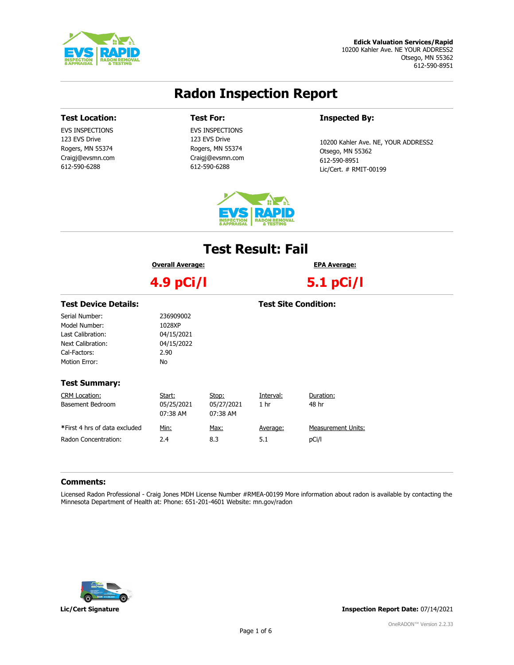

#### Edick Valuation Services/Rapid 10200 Kahler Ave. NE YOUR ADDRESS2 Otsego, MN 55362 612-590-8951

# Radon Inspection Report

### Test Location:

EVS INSPECTIONS 123 EVS Drive Rogers, MN 55374 Craigj@evsmn.com 612-590-6288

## Test For:

EVS INSPECTIONS 123 EVS Drive Rogers, MN 55374 Craigj@evsmn.com 612-590-6288

### Inspected By:

10200 Kahler Ave. NE, YOUR ADDRESS2 Otsego, MN 55362 612-590-8951 Lic/Cert. # RMIT-00199



# Test Result: Fail

Overall Average:

4.9 pCi/l

5.1 pCi/l

EPA Average:

| 236909002  |             |                 |                                                |
|------------|-------------|-----------------|------------------------------------------------|
| 1028XP     |             |                 |                                                |
| 04/15/2021 |             |                 |                                                |
| 04/15/2022 |             |                 |                                                |
| 2.90       |             |                 |                                                |
| No.        |             |                 |                                                |
|            |             |                 |                                                |
|            |             |                 |                                                |
| Start:     | Stop:       | Interval:       | Duration:                                      |
| 05/25/2021 | 05/27/2021  | 1 <sub>hr</sub> | 48 hr                                          |
| 07:38 AM   | 07:38 AM    |                 |                                                |
|            |             |                 | <b>Measurement Units:</b>                      |
|            |             |                 |                                                |
|            |             |                 | pCi/l                                          |
|            | Min:<br>2.4 | Max:<br>8.3     | <b>Test Site Condition:</b><br>Average:<br>5.1 |

### Comments:

Licensed Radon Professional - Craig Jones MDH License Number #RMEA-00199 More information about radon is available by contacting the Minnesota Department of Health at: Phone: 651-201-4601 Website: mn.gov/radon



Lic/Cert Signature Inspection Report Date: 07/14/2021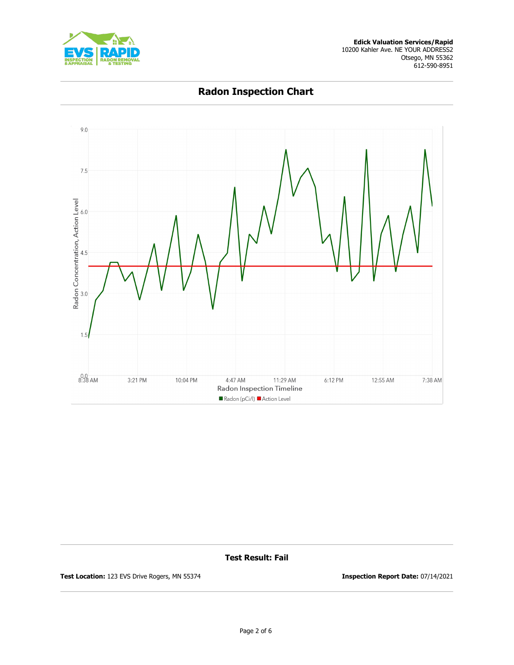



Radon Inspection Chart

Test Result: Fail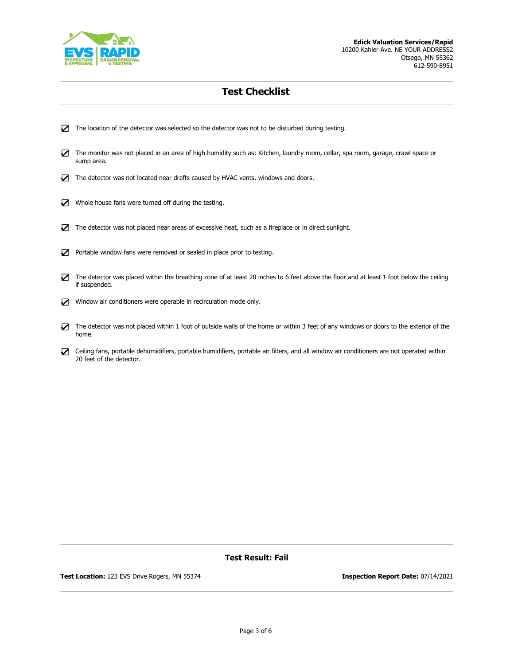

# Test Checklist

- ☑ The location of the detector was selected so the detector was not to be disturbed during testing.
- ☑ The monitor was not placed in an area of high humidity such as: Kitchen, laundry room, cellar, spa room, garage, crawl space or sump area.
- ☑ The detector was not located near drafts caused by HVAC vents, windows and doors.
- ☑ Whole house fans were turned off during the testing.
- ☑ The detector was not placed near areas of excessive heat, such as a fireplace or in direct sunlight.
- ☑ Portable window fans were removed or sealed in place prior to testing.
- ☑ The detector was placed within the breathing zone of at least 20 inches to 6 feet above the floor and at least 1 foot below the ceiling if suspended.
- ☑ Window air conditioners were operable in recirculation mode only.
- ☑ The detector was not placed within 1 foot of outside walls of the home or within 3 feet of any windows or doors to the exterior of the home.
- ☑ Ceiling fans, portable dehumidifiers, portable humidifiers, portable air filters, and all window air conditioners are not operated within 20 feet of the detector.

### Test Result: Fail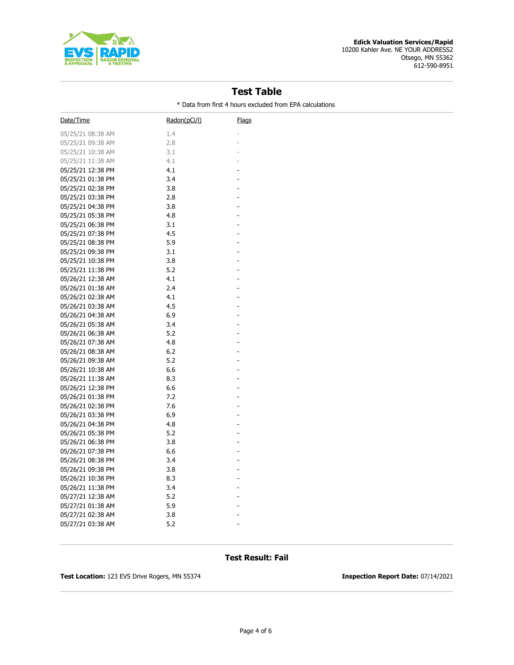

# Test Table

\* Data from first 4 hours excluded from EPA calculations

| Date/Time         | Radon(pCi/l) | <u>Flags</u> |
|-------------------|--------------|--------------|
| 05/25/21 08:38 AM | 1.4          |              |
| 05/25/21 09:38 AM | 2.8          |              |
| 05/25/21 10:38 AM | 3.1          |              |
| 05/25/21 11:38 AM | 4.1          |              |
| 05/25/21 12:38 PM | 4.1          |              |
| 05/25/21 01:38 PM | 3.4          |              |
| 05/25/21 02:38 PM | 3.8          |              |
| 05/25/21 03:38 PM | 2.8          |              |
| 05/25/21 04:38 PM | 3.8          |              |
| 05/25/21 05:38 PM | 4.8          |              |
| 05/25/21 06:38 PM | 3.1          |              |
| 05/25/21 07:38 PM | 4.5          |              |
| 05/25/21 08:38 PM | 5.9          |              |
| 05/25/21 09:38 PM | 3.1          |              |
| 05/25/21 10:38 PM | 3.8          |              |
| 05/25/21 11:38 PM | 5.2          |              |
| 05/26/21 12:38 AM | 4.1          |              |
| 05/26/21 01:38 AM | 2.4          |              |
| 05/26/21 02:38 AM | 4.1          |              |
| 05/26/21 03:38 AM | 4.5          |              |
| 05/26/21 04:38 AM | 6.9          |              |
| 05/26/21 05:38 AM | 3.4          |              |
| 05/26/21 06:38 AM | 5.2          |              |
| 05/26/21 07:38 AM | 4.8          |              |
| 05/26/21 08:38 AM | 6.2          |              |
| 05/26/21 09:38 AM | 5.2          |              |
| 05/26/21 10:38 AM | 6.6          |              |
| 05/26/21 11:38 AM | 8.3          |              |
| 05/26/21 12:38 PM | 6.6          |              |
| 05/26/21 01:38 PM | 7.2          |              |
| 05/26/21 02:38 PM | 7.6          |              |
| 05/26/21 03:38 PM | 6.9          |              |
| 05/26/21 04:38 PM | 4.8          |              |
| 05/26/21 05:38 PM | 5.2          |              |
| 05/26/21 06:38 PM | 3.8          |              |
| 05/26/21 07:38 PM | 6.6          |              |
| 05/26/21 08:38 PM | 3.4          |              |
| 05/26/21 09:38 PM | 3.8          |              |
| 05/26/21 10:38 PM | 8.3          |              |
| 05/26/21 11:38 PM | 3.4          |              |
| 05/27/21 12:38 AM | 5.2          |              |
| 05/27/21 01:38 AM | 5.9          |              |
| 05/27/21 02:38 AM | 3.8          |              |
| 05/27/21 03:38 AM | 5.2          |              |

## Test Result: Fail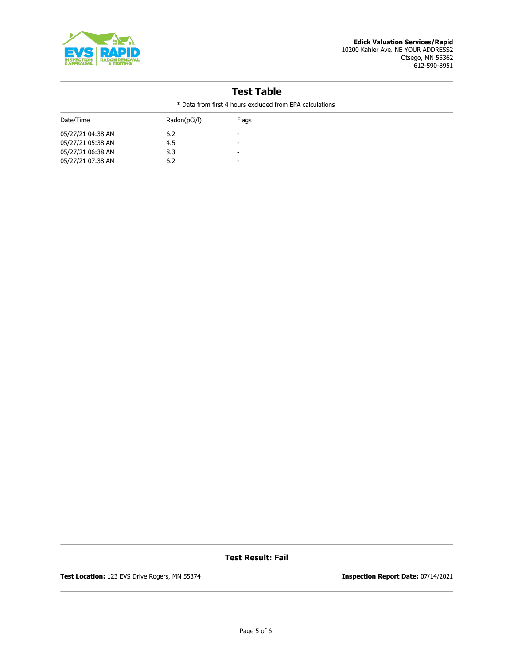

#### Edick Valuation Services/Rapid 10200 Kahler Ave. NE YOUR ADDRESS2 Otsego, MN 55362 612-590-8951

# Test Table

\* Data from first 4 hours excluded from EPA calculations

| Date/Time         | Radon(pCi/l) | <b>Flags</b> |
|-------------------|--------------|--------------|
| 05/27/21 04:38 AM | 6.2          | -            |
| 05/27/21 05:38 AM | 4.5          | -            |
| 05/27/21 06:38 AM | 8.3          | -            |
| 05/27/21 07:38 AM | 6.2          | -            |
|                   |              |              |

Test Result: Fail